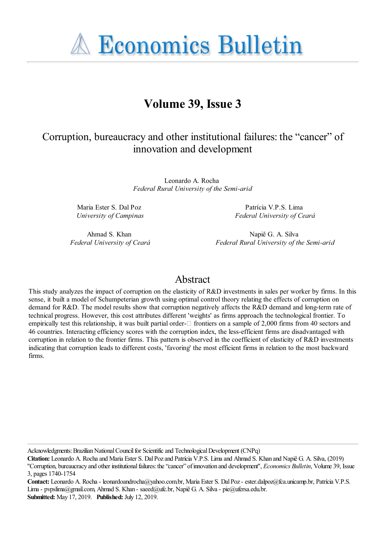**A Economics Bulletin** 

# **Volume 39, Issue 3**

## Corruption, bureaucracy and other institutional failures: the "cancer" of innovation and development

Leonardo A. Rocha *Federal Rural University of the Semi-arid*

Maria Ester S. Dal Poz *University of Campinas*

Patrícia V.P.S. Lima *Federal University of Ceará*

Ahmad S. Khan *Federal University of Ceará*

Napiê G. A. Silva *Federal Rural University of the Semi-arid*

## Abstract

This study analyzes the impact of corruption on the elasticity of R&D investments in sales per worker by firms. In this sense, it built a model of Schumpeterian growth using optimal control theory relating the effects of corruption on demand for R&D. The model results show that corruption negatively affects the R&D demand and long-term rate of technical progress. However, this cost attributes different 'weights' as firms approach the technological frontier. To empirically test this relationship, it was built partial order- $\Box$  frontiers on a sample of 2,000 firms from 40 sectors and 46 countries. Interacting efficiency scores with the corruption index, the less-efficient firms are disadvantaged with corruption in relation to the frontier firms. This pattern is observed in the coefficient of elasticity of R&D investments indicating that corruption leads to different costs, 'favoring' the most efficient firms in relation to the most backward firms.

Acknowledgments: Brazilian National Council for Scientific and Technological Development (CNPq)

**Citation:** Leonardo A. Rocha and Maria Ester S. Dal Poz and Patrícia V.P.S. Lima and Ahmad S. Khan and Napiê G. A. Silva, (2019) ''Corruption, bureaucracy and other institutional failures: the "cancer" of innovation and development'', *Economics Bulletin*, Volume 39, Issue 3, pages 1740-1754

Contact: Leonardo A. Rocha - leonardoandrocha@yahoo.com.br, Maria Ester S. Dal Poz - ester.dalpoz@fca.unicamp.br, Patrícia V.P.S. Lima - pvpslima@gmail.com, Ahmad S. Khan - saeed@ufc.br, Napiê G. A. Silva - pie@ufersa.edu.br. **Submitted:** May 17, 2019. **Published:** July 12, 2019.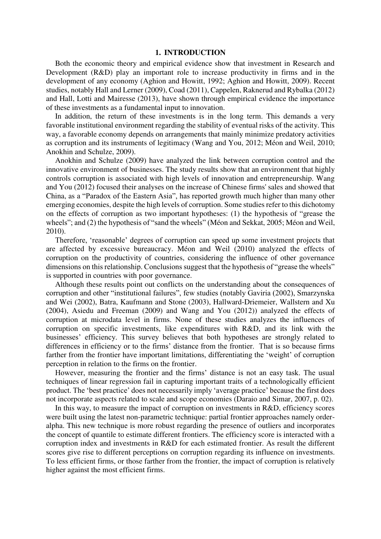#### **1. INTRODUCTION**

Both the economic theory and empirical evidence show that investment in Research and Development (R&D) play an important role to increase productivity in firms and in the development of any economy (Aghion and Howitt, 1992; Aghion and Howitt, 2009). Recent studies, notably Hall and Lerner (2009), Coad (2011), Cappelen, Raknerud and Rybalka (2012) and Hall, Lotti and Mairesse (2013), have shown through empirical evidence the importance of these investments as a fundamental input to innovation.

In addition, the return of these investments is in the long term. This demands a very favorable institutional environment regarding the stability of eventual risks of the activity. This way, a favorable economy depends on arrangements that mainly minimize predatory activities as corruption and its instruments of legitimacy (Wang and You, 2012; Méon and Weil, 2010; Anokhin and Schulze, 2009).

Anokhin and Schulze (2009) have analyzed the link between corruption control and the innovative environment of businesses. The study results show that an environment that highly controls corruption is associated with high levels of innovation and entrepreneurship. Wang and You (2012) focused their analyses on the increase of Chinese firms' sales and showed that China, as a "Paradox of the Eastern Asia", has reported growth much higher than many other emerging economies, despite the high levels of corruption. Some studies refer to this dichotomy on the effects of corruption as two important hypotheses: (1) the hypothesis of "grease the wheels"; and (2) the hypothesis of "sand the wheels" (Méon and Sekkat, 2005; Méon and Weil, 2010).

Therefore, 'reasonable' degrees of corruption can speed up some investment projects that are affected by excessive bureaucracy. Méon and Weil (2010) analyzed the effects of corruption on the productivity of countries, considering the influence of other governance dimensions on this relationship. Conclusions suggest that the hypothesis of "grease the wheels" is supported in countries with poor governance.

Although these results point out conflicts on the understanding about the consequences of corruption and other "institutional failures", few studies (notably Gaviria (2002), Smarzynska and Wei (2002), Batra, Kaufmann and Stone (2003), Hallward-Driemeier, Wallstern and Xu (2004), Asiedu and Freeman (2009) and Wang and You (2012)) analyzed the effects of corruption at microdata level in firms. None of these studies analyzes the influences of corruption on specific investments, like expenditures with R&D, and its link with the businesses' efficiency. This survey believes that both hypotheses are strongly related to differences in efficiency or to the firms' distance from the frontier. That is so because firms farther from the frontier have important limitations, differentiating the 'weight' of corruption perception in relation to the firms on the frontier.

However, measuring the frontier and the firms' distance is not an easy task. The usual techniques of linear regression fail in capturing important traits of a technologically efficient product. The 'best practice' does not necessarily imply 'average practice' because the first does not incorporate aspects related to scale and scope economies (Daraio and Simar, 2007, p. 02).

In this way, to measure the impact of corruption on investments in R&D, efficiency scores were built using the latest non-parametric technique: partial frontier approaches namely orderalpha. This new technique is more robust regarding the presence of outliers and incorporates the concept of quantile to estimate different frontiers. The efficiency score is interacted with a corruption index and investments in R&D for each estimated frontier. As result the different scores give rise to different perceptions on corruption regarding its influence on investments. To less efficient firms, or those farther from the frontier, the impact of corruption is relatively higher against the most efficient firms.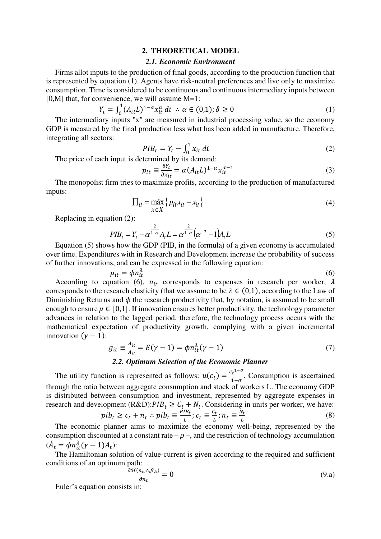#### **2. THEORETICAL MODEL**

## *2.1. Economic Environment*

Firms allot inputs to the production of final goods, according to the production function that is represented by equation (1). Agents have risk-neutral preferences and live only to maximize consumption. Time is considered to be continuous and continuous intermediary inputs between [0,M] that, for convenience, we will assume M=1:

$$
Y_t = \int_0^1 (A_{it}L)^{1-\alpha} x_{it}^{\alpha} dt \quad \therefore \quad \alpha \in (0,1); \delta \ge 0 \tag{1}
$$

The intermediary inputs "x" are measured in industrial processing value, so the economy GDP is measured by the final production less what has been added in manufacture. Therefore, integrating all sectors:

$$
PIB_t = Y_t - \int_0^1 x_{it} dt
$$
 (2)

 $PIB_t = Y_t - \int_0^t x_{it} dt$ <br>The price of each input is determined by its demand:

$$
p_{it} \equiv \frac{\partial Y_t}{\partial x_{it}} = \alpha (A_{it} L)^{1-\alpha} x_{it}^{\alpha-1}
$$
 (3)

The monopolist firm tries to maximize profits, according to the production of manufactured inputs:

$$
\Pi_{it} = \max_{x \in X} \{ p_{it} x_{it} - x_{it} \}
$$
\n(4)

Replacing in equation (2):

$$
PIB_t = Y_t - \alpha^{\frac{2}{1-\alpha}} A_t L = \alpha^{\frac{2}{1-\alpha}} (\alpha^{-2} - 1) A_t L
$$
 (5)

Equation (5) shows how the GDP (PIB, in the formula) of a given economy is accumulated over time. Expenditures with in Research and Development increase the probability of success of further innovations, and can be expressed in the following equation:

$$
\mu_{it} = \phi n_{it}^{\lambda} \tag{6}
$$

According to equation (6),  $n_{it}$  corresponds to expenses in research per worker,  $\lambda$ corresponds to the research elasticity (that we assume to be  $\lambda \in (0,1)$ , according to the Law of Diminishing Returns and  $\phi$  the research productivity that, by notation, is assumed to be small enough to ensure  $\mu \in [0,1]$ . If innovation ensures better productivity, the technology parameter advances in relation to the lagged period, therefore, the technology process occurs with the mathematical expectation of productivity growth, complying with a given incremental innovation  $(y - 1)$ :

$$
g_{it} \equiv \frac{\dot{A}_{it}}{A_{it}} = E(\gamma - 1) = \phi n_{it}^{\lambda}(\gamma - 1)
$$
\n(7)

## *2.2. Optimum Selection of the Economic Planner*

The utility function is represented as follows:  $u(c_t) = \frac{c_t^{1-\sigma}}{1-\sigma}$  $\frac{d\tau}{1-\sigma}$ . Consumption is ascertained through the ratio between aggregate consumption and stock of workers L. The economy GDP is distributed between consumption and investment, represented by aggregate expenses in research and development (R&D): $PIB_t \ge C_t + N_t$ . Considering in units per worker, we have:

$$
pib_t \ge c_t + n_t \therefore pib_t \equiv \frac{p_{t}}{L}; c_t \equiv \frac{c_t}{L}; n_t \equiv \frac{N_t}{L}
$$
\n(8)

The economic planner aims to maximize the economy well-being, represented by the consumption discounted at a constant rate  $-\rho$  –, and the restriction of technology accumulation  $(\dot{A}_t = \phi n_{it}^{\lambda} (\gamma - 1) A_t)$ :

The Hamiltonian solution of value-current is given according to the required and sufficient conditions of an optimum path:

$$
\frac{\partial \mathcal{H}(n_t, A, \beta_A)}{\partial n_t} = 0 \tag{9.1}
$$

Euler's equation consists in: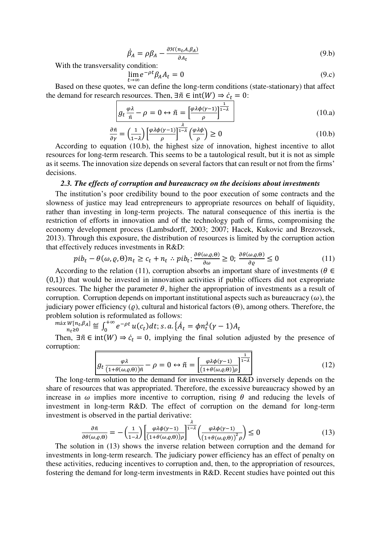$$
\dot{\beta}_A = \rho \beta_A - \frac{\partial \mathcal{H}(n_t, A, \beta_A)}{\partial A_t} \tag{9.b}
$$

With the transversality condition:

$$
\lim_{t \to \infty} e^{-\rho t} \beta_A A_t = 0 \tag{9.c}
$$

Based on these quotes, we can define the long-term conditions (state-stationary) that affect the demand for research resources. Then,  $\exists \tilde{n} \in \text{int}(W) \Rightarrow \dot{c}_t = 0$ :

$$
g_t \frac{\varphi \lambda}{\tilde{n}} - \rho = 0 \leftrightarrow \tilde{n} = \left[\frac{\varphi \lambda \phi(\gamma - 1)}{\rho}\right]^{\frac{1}{1 - \lambda}}
$$
(10.a)

$$
\frac{\partial \tilde{n}}{\partial \gamma} = \left(\frac{1}{1-\lambda}\right) \left[\frac{\varphi \lambda \phi(\gamma - 1)}{\rho}\right]^{\frac{\lambda}{1-\lambda}} \left(\frac{\varphi \lambda \phi}{\rho}\right) \ge 0
$$
\n(10.b)

According to equation (10.b), the highest size of innovation, highest incentive to allot resources for long-term research. This seems to be a tautological result, but it is not as simple as it seems. The innovation size depends on several factors that can result or not from the firms' decisions.

#### *2.3. The effects of corruption and bureaucracy on the decisions about investments*

The institution's poor credibility bound to the poor execution of some contracts and the slowness of justice may lead entrepreneurs to appropriate resources on behalf of liquidity, rather than investing in long-term projects. The natural consequence of this inertia is the restriction of efforts in innovation and of the technology path of firms, compromising the economy development process (Lambsdorff, 2003; 2007; Hacek, Kukovic and Brezovsek, 2013). Through this exposure, the distribution of resources is limited by the corruption action that effectively reduces investments in R&D:

$$
pib_t - \theta(\omega, \varrho, \Theta)n_t \ge c_t + n_t \therefore pib_t; \frac{\partial \theta(\omega, \varrho, \Theta)}{\partial \omega} \ge 0; \frac{\partial \theta(\omega, \varrho, \Theta)}{\partial \varrho} \le 0 \tag{11}
$$

According to the relation (11), corruption absorbs an important share of investments ( $\theta \in$  $(0,1)$ ) that would be invested in innovation activities if public officers did not expropriate resources. The higher the parameter  $\theta$ , higher the appropriation of investments as a result of corruption. Corruption depends on important institutional aspects such as bureaucracy  $(\omega)$ , the judiciary power efficiency ( $ρ$ ), cultural and historical factors ( $Θ$ ), among others. Therefore, the problem solution is reformulated as follows:

$$
\max_{n_t \geq 0} W[n_t, \beta_A] \stackrel{\text{def}}{=} \int_0^{+\infty} e^{-\rho t} u(c_t) dt; \, s. \, a. \left\{ A_t = \phi n_t^{\lambda} (\gamma - 1) A_t \right\}
$$

Then,  $\exists \tilde{n} \in \text{int}(W) \Rightarrow c_t = 0$ , implying the final solution adjusted by the presence of corruption:

$$
g_t \frac{\varphi \lambda}{(1 + \theta(\omega, \varrho, \theta))\tilde{n}} - \rho = 0 \leftrightarrow \tilde{n} = \left[ \frac{\varphi \lambda \phi(\gamma - 1)}{(1 + \theta(\omega, \varrho, \theta))\rho} \right]^{\frac{1}{1 - \lambda}}
$$
(12)

The long-term solution to the demand for investments in R&D inversely depends on the share of resources that was appropriated. Therefore, the excessive bureaucracy showed by an increase in  $\omega$  implies more incentive to corruption, rising  $\theta$  and reducing the levels of investment in long-term R&D. The effect of corruption on the demand for long-term investment is observed in the partial derivative:

$$
\frac{\partial \tilde{n}}{\partial \theta(\omega,\varrho,\Theta)} = -\left(\frac{1}{1-\lambda}\right) \left[ \frac{\varphi \lambda \phi(\gamma-1)}{(1+\theta(\omega,\varrho,\Theta))\rho} \right]^{1-\lambda} \left( \frac{\varphi \lambda \phi(\gamma-1)}{(1+\theta(\omega,\varrho,\Theta))^2 \rho} \right) \leq 0 \tag{13}
$$

The solution in (13) shows the inverse relation between corruption and the demand for investments in long-term research. The judiciary power efficiency has an effect of penalty on these activities, reducing incentives to corruption and, then, to the appropriation of resources, fostering the demand for long-term investments in R&D. Recent studies have pointed out this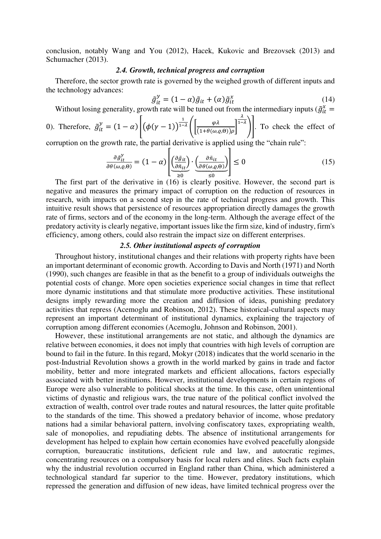conclusion, notably Wang and You (2012), Hacek, Kukovic and Brezovsek (2013) and Schumacher (2013).

## *2.4. Growth, technical progress and corruption*

Therefore, the sector growth rate is governed by the weighed growth of different inputs and the technology advances:

$$
\tilde{g}_{it}^{\gamma} = (1 - \alpha)\tilde{g}_{it} + (\alpha)\tilde{g}_{it}^{\chi}
$$
\n(14)

Without losing generality, growth rate will be tuned out from the intermediary inputs ( $\tilde{g}^x_{it}$  =

0). Therefore, 
$$
\tilde{g}_{it}^{y} = (1 - \alpha) \left[ (\phi(\gamma - 1))^{\frac{1}{1 - \lambda}} \left( \frac{\phi \lambda}{(1 + \theta(\omega, \rho, \theta)) \rho} \right)^{\frac{\lambda}{1 - \lambda}} \right]
$$
. To check the effect of  
corruption on the growth rate the partial derivative is applied using the "chain rule".

corruption on the growth rate, the partial derivative is applied using the "chain rule":<br> $\frac{1}{1}$ 

$$
\frac{\partial \tilde{g}_{it}^{\gamma}}{\partial \theta(\omega,\varrho,\Theta)} = (1-\alpha) \left[ \underbrace{\left(\frac{\partial \tilde{g}_{it}}{\partial \tilde{n}_{it}}\right)}_{\geq 0} \cdot \underbrace{\left(\frac{\partial \tilde{n}_{it}}{\partial \theta(\omega,\varrho,\Theta)}\right)}_{\leq 0} \right] \leq 0 \tag{15}
$$

The first part of the derivative in (16) is clearly positive. However, the second part is negative and measures the primary impact of corruption on the reduction of resources in research, with impacts on a second step in the rate of technical progress and growth. This intuitive result shows that persistence of resources appropriation directly damages the growth rate of firms, sectors and of the economy in the long-term. Although the average effect of the predatory activity is clearly negative, important issues like the firm size, kind of industry, firm's efficiency, among others, could also restrain the impact size on different enterprises.

## *2.5. Other institutional aspects of corruption*

Throughout history, institutional changes and their relations with property rights have been an important determinant of economic growth. According to Davis and North (1971) and North (1990), such changes are feasible in that as the benefit to a group of individuals outweighs the potential costs of change. More open societies experience social changes in time that reflect more dynamic institutions and that stimulate more productive activities. These institutional designs imply rewarding more the creation and diffusion of ideas, punishing predatory activities that repress (Acemoglu and Robinson, 2012). These historical-cultural aspects may represent an important determinant of institutional dynamics, explaining the trajectory of corruption among different economies (Acemoglu, Johnson and Robinson, 2001).

However, these institutional arrangements are not static, and although the dynamics are relative between economies, it does not imply that countries with high levels of corruption are bound to fail in the future. In this regard, Mokyr (2018) indicates that the world scenario in the post-Industrial Revolution shows a growth in the world marked by gains in trade and factor mobility, better and more integrated markets and efficient allocations, factors especially associated with better institutions. However, institutional developments in certain regions of Europe were also vulnerable to political shocks at the time. In this case, often unintentional victims of dynastic and religious wars, the true nature of the political conflict involved the extraction of wealth, control over trade routes and natural resources, the latter quite profitable to the standards of the time. This showed a predatory behavior of income, whose predatory nations had a similar behavioral pattern, involving confiscatory taxes, expropriating wealth, sale of monopolies, and repudiating debts. The absence of institutional arrangements for development has helped to explain how certain economies have evolved peacefully alongside corruption, bureaucratic institutions, deficient rule and law, and autocratic regimes, concentrating resources on a compulsory basis for local rulers and elites. Such facts explain why the industrial revolution occurred in England rather than China, which administered a technological standard far superior to the time. However, predatory institutions, which repressed the generation and diffusion of new ideas, have limited technical progress over the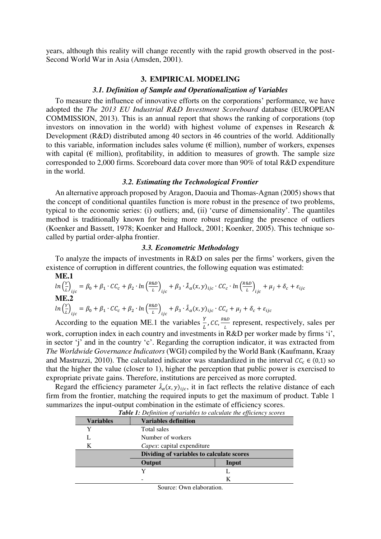years, although this reality will change recently with the rapid growth observed in the post-Second World War in Asia (Amsden, 2001).

#### **3. EMPIRICAL MODELING**

## *3.1. Definition of Sample and Operationalization of Variables*

To measure the influence of innovative efforts on the corporations' performance, we have adopted the *The 2013 EU Industrial R&D Investment Scoreboard* database (EUROPEAN COMMISSION, 2013). This is an annual report that shows the ranking of corporations (top investors on innovation in the world) with highest volume of expenses in Research & Development (R&D) distributed among 40 sectors in 46 countries of the world. Additionally to this variable, information includes sales volume ( $\epsilon$  million), number of workers, expenses with capital ( $\epsilon$  million), profitability, in addition to measures of growth. The sample size corresponded to 2,000 firms. Scoreboard data cover more than 90% of total R&D expenditure in the world.

#### *3.2. Estimating the Technological Frontier*

An alternative approach proposed by Aragon, Daouia and Thomas-Agnan (2005) shows that the concept of conditional quantiles function is more robust in the presence of two problems, typical to the economic series: (i) outliers; and, (ii) 'curse of dimensionality'. The quantiles method is traditionally known for being more robust regarding the presence of outliers (Koenker and Bassett, 1978; Koenker and Hallock, 2001; Koenker, 2005). This technique socalled by partial order-alpha frontier.

#### *3.3. Econometric Methodology*

To analyze the impacts of investments in R&D on sales per the firms' workers, given the existence of corruption in different countries, the following equation was estimated: **ME**<sub>1</sub>

$$
\ln\left(\frac{Y}{L}\right)_{ijc} = \beta_0 + \beta_1 \cdot CC_c + \beta_2 \cdot \ln\left(\frac{R\&D}{L}\right)_{ijc} + \beta_3 \cdot \tilde{\lambda}_\alpha(x, y)_{ijc} \cdot CC_c \cdot \ln\left(\frac{R\&D}{L}\right)_{ijc} + \mu_j + \delta_c + \varepsilon_{ijc}
$$
  

$$
\ln\left(\frac{Y}{L}\right)_{ijc} = \beta_0 + \beta_1 \cdot CC_c + \beta_2 \cdot \ln\left(\frac{R\&D}{L}\right)_{ijc} + \beta_3 \cdot \tilde{\lambda}_\alpha(x, y)_{ijc} \cdot CC_c + \mu_j + \delta_c + \varepsilon_{ijc}
$$

According to the equation ME.1 the variables  $\frac{Y}{l}$ , CC,  $\frac{R\&D}{l}$  represent, respectively, sales per work, corruption index in each country and investments in R&D per worker made by firms 'i', in sector 'j' and in the country 'c'. Regarding the corruption indicator, it was extracted from *The Worldwide Governance Indicators* (WGI) compiled by the World Bank (Kaufmann, Kraay and Mastruzzi, 2010). The calculated indicator was standardized in the interval  $\mathcal{CC}_c \in (0,1)$  so that the higher the value (closer to 1), higher the perception that public power is exercised to expropriate private gains. Therefore, institutions are perceived as more corrupted.

Regard the efficiency parameter  $\tilde{\lambda}_{\alpha}(x, y)_{ijc}$ , it in fact reflects the relative distance of each firm from the frontier, matching the required inputs to get the maximum of product. Table 1 summarizes the input-output combination in the estimate of efficiency scores. *Table 1: Definition of variables to calculate the efficiency scores* 

|                  | <b>Table 1.</b> Definition of variables to calculate the efficiency scores |       |  |
|------------------|----------------------------------------------------------------------------|-------|--|
| <b>Variables</b> | <b>Variables definition</b>                                                |       |  |
| Y                | Total sales                                                                |       |  |
|                  | Number of workers                                                          |       |  |
| K                | <i>Capex:</i> capital expenditure                                          |       |  |
|                  | Dividing of variables to calculate scores                                  |       |  |
|                  | Output                                                                     | Input |  |
|                  |                                                                            |       |  |
|                  |                                                                            | K     |  |

Source: Own elaboration.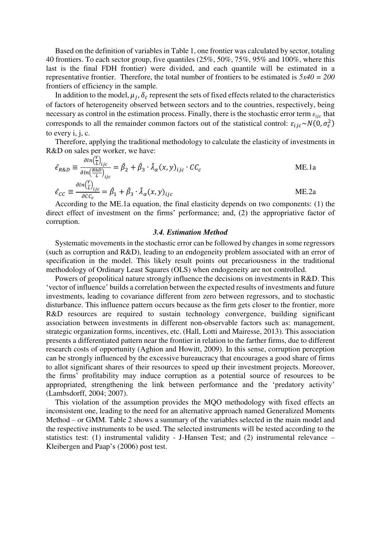Based on the definition of variables in Table 1, one frontier was calculated by sector, totaling 40 frontiers. To each sector group, five quantiles (25%, 50%, 75%, 95% and 100%, where this last is the final FDH frontier) were divided, and each quantile will be estimated in a representative frontier. Therefore, the total number of frontiers to be estimated is *5x40 = 200*  frontiers of efficiency in the sample.

In addition to the model,  $\mu_j$ ,  $\delta_c$  represent the sets of fixed effects related to the characteristics of factors of heterogeneity observed between sectors and to the countries, respectively, being necessary as control in the estimation process. Finally, there is the stochastic error term  $\varepsilon_{ijc}$  that corresponds to all the remainder common factors out of the statistical control:  $\varepsilon_{ijc} \sim N(0, \sigma_{\varepsilon}^2)$ to every i, j, c.

Therefore, applying the traditional methodology to calculate the elasticity of investments in R&D on sales per worker, we have:

$$
\hat{\epsilon}_{R\&D} \equiv \frac{\partial \ln(\frac{r}{L})_{ijc}}{\partial \ln(\frac{R\&D}{L})_{ijc}} = \hat{\beta}_2 + \hat{\beta}_3 \cdot \tilde{\lambda}_{\alpha}(x, y)_{ijc} \cdot CC_c
$$
 ME.1a  

$$
\hat{\epsilon}_{CC} \equiv \frac{\partial \ln(\frac{r}{L})_{ijc}}{\partial CC_c} = \hat{\beta}_1 + \hat{\beta}_3 \cdot \tilde{\lambda}_{\alpha}(x, y)_{ijc}
$$
 ME.2a

According to the ME.1a equation, the final elasticity depends on two components: (1) the direct effect of investment on the firms' performance; and, (2) the appropriative factor of corruption.

#### *3.4. Estimation Method*

Systematic movements in the stochastic error can be followed by changes in some regressors (such as corruption and R&D), leading to an endogeneity problem associated with an error of specification in the model. This likely result points out precariousness in the traditional methodology of Ordinary Least Squares (OLS) when endogeneity are not controlled.

Powers of geopolitical nature strongly influence the decisions on investments in R&D. This 'vector of influence' builds a correlation between the expected results of investments and future investments, leading to covariance different from zero between regressors, and to stochastic disturbance. This influence pattern occurs because as the firm gets closer to the frontier, more R&D resources are required to sustain technology convergence, building significant association between investments in different non-observable factors such as: management, strategic organization forms, incentives, etc. (Hall, Lotti and Mairesse, 2013). This association presents a differentiated pattern near the frontier in relation to the farther firms, due to different research costs of opportunity (Aghion and Howitt, 2009). In this sense, corruption perception can be strongly influenced by the excessive bureaucracy that encourages a good share of firms to allot significant shares of their resources to speed up their investment projects. Moreover, the firms' profitability may induce corruption as a potential source of resources to be appropriated, strengthening the link between performance and the 'predatory activity' (Lambsdorff, 2004; 2007).

This violation of the assumption provides the MQO methodology with fixed effects an inconsistent one, leading to the need for an alternative approach named Generalized Moments Method – or GMM. Table 2 shows a summary of the variables selected in the main model and the respective instruments to be used. The selected instruments will be tested according to the statistics test: (1) instrumental validity - J-Hansen Test; and (2) instrumental relevance – Kleibergen and Paap's (2006) post test.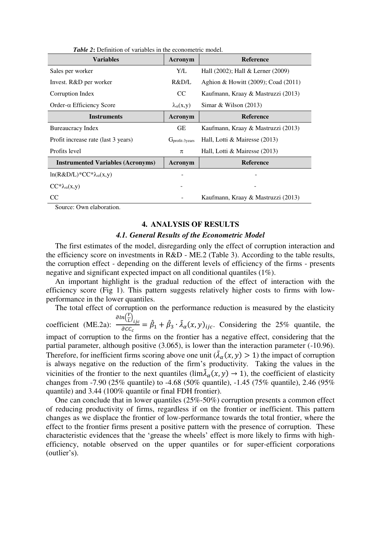| <b>Variables</b>                         | Acronym                 | <b>Reference</b>                       |  |
|------------------------------------------|-------------------------|----------------------------------------|--|
| Sales per worker                         | Y/L                     | Hall $(2002)$ ; Hall & Lerner $(2009)$ |  |
| Invest. R&D per worker                   | R&D/L                   | Aghion & Howitt (2009); Coad (2011)    |  |
| Corruption Index                         | CC                      | Kaufmann, Kraay & Mastruzzi (2013)     |  |
| $Order-\alpha Efficiency Score$          | $\lambda_{\alpha}(x,y)$ | Simar & Wilson $(2013)$                |  |
| Instruments                              | Acronym                 | <b>Reference</b>                       |  |
| Bureaucracy Index                        | <b>GE</b>               | Kaufmann, Kraay & Mastruzzi (2013)     |  |
| Profit increase rate (last 3 years)      | $Gprofit-3 \,$          | Hall, Lotti & Mairesse (2013)          |  |
| Profits level                            | π                       | Hall, Lotti & Mairesse (2013)          |  |
| <b>Instrumented Variables (Acronyms)</b> | Acronym                 | <b>Reference</b>                       |  |
| ln(R&D/L)*CC* $\lambda_{\alpha}(x,y)$    |                         |                                        |  |
| $CC^*\lambda_{\alpha}(x,y)$              |                         |                                        |  |
| CC                                       |                         | Kaufmann, Kraay & Mastruzzi (2013)     |  |

Source: Own elaboration.

#### **4. ANALYSIS OF RESULTS**

#### *4.1. General Results of the Econometric Model*

The first estimates of the model, disregarding only the effect of corruption interaction and the efficiency score on investments in R&D - ME.2 (Table 3). According to the table results, the corruption effect - depending on the different levels of efficiency of the firms - presents negative and significant expected impact on all conditional quantiles (1%).

An important highlight is the gradual reduction of the effect of interaction with the efficiency score (Fig 1). This pattern suggests relatively higher costs to firms with lowperformance in the lower quantiles.

The total effect of corruption on the performance reduction is measured by the elasticity  $\frac{\partial ln(\frac{Y}{L})}{\partial inc}$ 

coefficient (ME.2a):  $\frac{\partial^2 U_{\text{f}}}{\partial c c_c} = \hat{\beta}_1 + \hat{\beta}_3 \cdot \lambda_\alpha(x, y)_{ijc}$ . Considering the 25% quantile, the impact of corruption to the firms on the frontier has a negative effect, considering that the partial parameter, although positive (3.065), is lower than the interaction parameter (-10.96). Therefore, for inefficient firms scoring above one unit  $(\lambda_{\alpha}(x, y) > 1)$  the impact of corruption is always negative on the reduction of the firm's productivity. Taking the values in the vicinities of the frontier to the next quantiles (lim $\lambda_{\alpha}(x, y) \rightarrow 1$ ), the coefficient of elasticity changes from -7.90 (25% quantile) to -4.68 (50% quantile), -1.45 (75% quantile), 2.46 (95% quantile) and 3.44 (100% quantile or final FDH frontier).

One can conclude that in lower quantiles (25%-50%) corruption presents a common effect of reducing productivity of firms, regardless if on the frontier or inefficient. This pattern changes as we displace the frontier of low-performance towards the total frontier, where the effect to the frontier firms present a positive pattern with the presence of corruption. These characteristic evidences that the 'grease the wheels' effect is more likely to firms with highefficiency, notable observed on the upper quantiles or for super-efficient corporations (outlier's).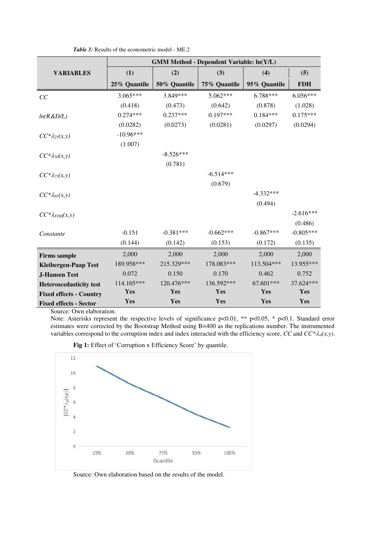|                                | <b>GMM Method - Dependent Variable: ln(Y/L)</b> |              |              |              |             |
|--------------------------------|-------------------------------------------------|--------------|--------------|--------------|-------------|
| <b>VARIABLES</b>               | (1)                                             | (2)          | (3)          | (4)          | (5)         |
|                                | 25% Quantile                                    | 50% Quantile | 75% Quantile | 95% Quantile | <b>FDH</b>  |
| CC                             | $3.065***$                                      | 3.849***     | $5.062***$   | 6.788***     | $6.056***$  |
|                                | (0.418)                                         | (0.473)      | (0.642)      | (0.878)      | (1.028)     |
| ln(R & D/L)                    | $0.274***$                                      | $0.237***$   | $0.197***$   | $0.184***$   | $0.175***$  |
|                                | (0.0282)                                        | (0.0273)     | (0.0281)     | (0.0297)     | (0.0294)    |
| $CC^*\lambda_{25}(x,y)$        | $-10.96***$                                     |              |              |              |             |
|                                | (1.007)                                         |              |              |              |             |
| $CC^*\lambda_{50}(x, y)$       |                                                 | $-8.526***$  |              |              |             |
|                                |                                                 | (0.781)      |              |              |             |
| $CC^*\lambda_{75}(x,y)$        |                                                 |              | $-6.514***$  |              |             |
|                                |                                                 |              | (0.679)      |              |             |
| $CC^*\lambda_{95}(x,y)$        |                                                 |              |              | $-4.332***$  |             |
|                                |                                                 |              |              | (0.494)      |             |
| $CC^*\lambda_{FDH}(x, y)$      |                                                 |              |              |              | $-2.616***$ |
|                                |                                                 |              |              |              | (0.486)     |
| Constante                      | $-0.151$                                        | $-0.381***$  | $-0.662***$  | $-0.867***$  | $-0.805***$ |
|                                | (0.144)                                         | (0.142)      | (0.153)      | (0.172)      | (0.135)     |
| <b>Firms sample</b>            | 2,000                                           | 2,000        | 2,000        | 2,000        | 2,000       |
| <b>Kleibergen-Paap Test</b>    | 189.958***                                      | 215.329***   | 178.083***   | 113.504***   | 13.955***   |
| <b>J-Hansen Test</b>           | 0.072                                           | 0.150        | 0.170        | 0.462        | 0.752       |
| <b>Heteroscedasticity test</b> | 114.105***                                      | 120.476***   | 136.592***   | 67.601***    | 37.624***   |
| <b>Fixed effects - Country</b> | Yes                                             | Yes          | Yes          | Yes          | Yes         |
| <b>Fixed effects - Sector</b>  | Yes                                             | Yes          | Yes          | Yes          | Yes         |

*Table 3:* Results of the econometric model - ME.2

Source: Own elaboration.

Note: Asterisks represent the respective levels of significance p<0.01, \*\* p<0.05, \* p<0.1. Standard error estimates were corrected by the Bootstrap Method using B=400 as the replications number. The instrumented variables correspond to the corruption index and index interacted with the efficiency score,  $CC$  and  $CC^*\lambda_{\alpha}(x,y)$ .



Fig 1: Effect of 'Corruption x Efficiency Score' by quantile.

Source: Own elaboration based on the results of the model.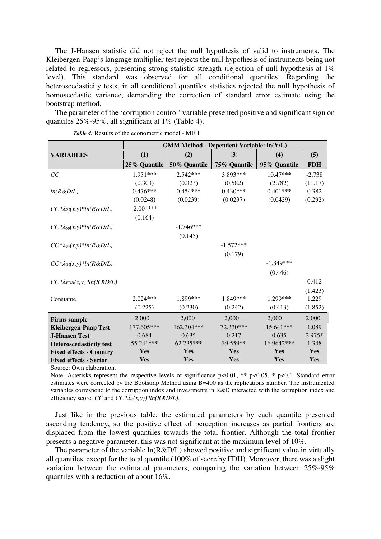The J-Hansen statistic did not reject the null hypothesis of valid to instruments. The Kleibergen-Paap's langrage multiplier test rejects the null hypothesis of instruments being not related to regressors, presenting strong statistic strength (rejection of null hypothesis at 1% level). This standard was observed for all conditional quantiles. Regarding the heteroscedasticity tests, in all conditional quantiles statistics rejected the null hypothesis of homoscedastic variance, demanding the correction of standard error estimate using the bootstrap method.

The parameter of the 'corruption control' variable presented positive and significant sign on quantiles 25%-95%, all significant at 1% (Table 4).

|                                       | <b>GMM Method - Dependent Variable: ln(Y/L)</b> |              |              |              |            |
|---------------------------------------|-------------------------------------------------|--------------|--------------|--------------|------------|
| <b>VARIABLES</b>                      | (1)                                             | (2)          | (3)          | (4)          | (5)        |
|                                       | 25% Quantile                                    | 50% Quantile | 75% Quantile | 95% Quantile | <b>FDH</b> |
| CC                                    | 1.951***                                        | $2.542***$   | 3.893***     | $10.47***$   | $-2.738$   |
|                                       | (0.303)                                         | (0.323)      | (0.582)      | (2.782)      | (11.17)    |
| ln(R & D/L)                           | $0.476***$                                      | $0.454***$   | $0.430***$   | $0.401***$   | 0.382      |
|                                       | (0.0248)                                        | (0.0239)     | (0.0237)     | (0.0429)     | (0.292)    |
| $CC^*\lambda_{25}(x, y)*ln(R\&D/L)$   | $-2.004***$                                     |              |              |              |            |
|                                       | (0.164)                                         |              |              |              |            |
| $CC^*\lambda_{50}(x,y)*ln(R&D/L)$     |                                                 | $-1.746***$  |              |              |            |
|                                       |                                                 | (0.145)      |              |              |            |
| $CC^*\lambda_{75}(x,y)*ln(R&D/L)$     |                                                 |              | $-1.572***$  |              |            |
|                                       |                                                 |              | (0.179)      |              |            |
| $CC^*\lambda_{95}(x, y)*ln(R&D/L)$    |                                                 |              |              | $-1.849***$  |            |
|                                       |                                                 |              |              | (0.446)      |            |
| $CC^*\lambda_{FDH}(x, y)^*ln(R\&D/L)$ |                                                 |              |              |              | 0.412      |
|                                       |                                                 |              |              |              | (1.423)    |
| Constante                             | $2.024***$                                      | 1.899 ***    | 1.849***     | 1.299***     | 1.229      |
|                                       | (0.225)                                         | (0.230)      | (0.242)      | (0.413)      | (1.852)    |
| <b>Firms sample</b>                   | 2,000                                           | 2,000        | 2,000        | 2,000        | 2,000      |
| <b>Kleibergen-Paap Test</b>           | 177.605***                                      | 162.304***   | 72.330***    | 15.641***    | 1.089      |
| <b>J-Hansen Test</b>                  | 0.684                                           | 0.635        | 0.217        | 0.635        | $2.975*$   |
| <b>Heteroscedasticity test</b>        | 55.241***                                       | 62.235***    | 39.559**     | 16.9642***   | 1.348      |
| <b>Fixed effects - Country</b>        | Yes                                             | Yes          | Yes          | Yes          | Yes        |
| <b>Fixed effects - Sector</b>         | Yes                                             | Yes          | Yes          | Yes          | Yes        |

Source: Own elaboration.

Note: Asterisks represent the respective levels of significance  $p<0.01$ , \*\*  $p<0.05$ , \*  $p<0.1$ . Standard error estimates were corrected by the Bootstrap Method using B=400 as the replications number. The instrumented variables correspond to the corruption index and investments in R&D interacted with the corruption index and efficiency score, *CC* and  $CC^*\lambda_a(x, y)$ <sup>\*</sup>ln( $R&D/L$ ).

Just like in the previous table, the estimated parameters by each quantile presented ascending tendency, so the positive effect of perception increases as partial frontiers are displaced from the lowest quantiles towards the total frontier. Although the total frontier presents a negative parameter, this was not significant at the maximum level of 10%.

The parameter of the variable  $ln(R&D/L)$  showed positive and significant value in virtually all quantiles, except for the total quantile (100% of score by FDH). Moreover, there was a slight variation between the estimated parameters, comparing the variation between 25%-95% quantiles with a reduction of about 16%.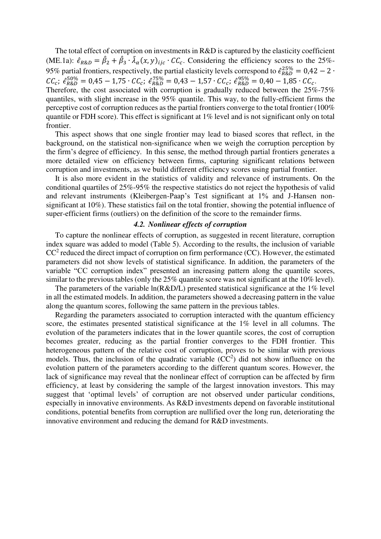The total effect of corruption on investments in R&D is captured by the elasticity coefficient (ME.1a):  $\hat{\epsilon}_{R\&D} = \hat{\beta}_2 + \hat{\beta}_3 \cdot \hat{\lambda}_{\alpha}(x, y)_{ijc} \cdot CC_c$ . Considering the efficiency scores to the 25%- $\alpha$ 95% partial frontiers, respectively, the partial elasticity levels correspond to  $\hat{\epsilon}_{R\&D}^{25\%} = 0.42 - 2 \cdot$  $CC_c$ ;  $\hat{\epsilon}_{R\&D}^{50\%} = 0.45 - 1.75 \cdot CC_c$ ;  $\hat{\epsilon}_{R\&D}^{75\%} = 0.43 - 1.57 \cdot CC_c$ ;  $\hat{\epsilon}_{R\&D}^{95\%} = 0.40 - 1.85 \cdot CC_c$ . Therefore, the cost associated with corruption is gradually reduced between the 25%-75%

quantiles, with slight increase in the 95% quantile. This way, to the fully-efficient firms the perceptive cost of corruption reduces as the partial frontiers converge to the total frontier (100% quantile or FDH score). This effect is significant at 1% level and is not significant only on total frontier.

This aspect shows that one single frontier may lead to biased scores that reflect, in the background, on the statistical non-significance when we weigh the corruption perception by the firm's degree of efficiency. In this sense, the method through partial frontiers generates a more detailed view on efficiency between firms, capturing significant relations between corruption and investments, as we build different efficiency scores using partial frontier.

It is also more evident in the statistics of validity and relevance of instruments. On the conditional quartiles of 25%-95% the respective statistics do not reject the hypothesis of valid and relevant instruments (Kleibergen-Paap's Test significant at 1% and J-Hansen nonsignificant at 10%). These statistics fail on the total frontier, showing the potential influence of super-efficient firms (outliers) on the definition of the score to the remainder firms.

## *4.2. Nonlinear effects of corruption*

To capture the nonlinear effects of corruption, as suggested in recent literature, corruption index square was added to model (Table 5). According to the results, the inclusion of variable  $CC<sup>2</sup>$  reduced the direct impact of corruption on firm performance (CC). However, the estimated parameters did not show levels of statistical significance. In addition, the parameters of the variable "CC corruption index" presented an increasing pattern along the quantile scores, similar to the previous tables (only the 25% quantile score was not significant at the 10% level).

The parameters of the variable  $ln(R&D/L)$  presented statistical significance at the 1% level in all the estimated models. In addition, the parameters showed a decreasing pattern in the value along the quantum scores, following the same pattern in the previous tables.

Regarding the parameters associated to corruption interacted with the quantum efficiency score, the estimates presented statistical significance at the 1% level in all columns. The evolution of the parameters indicates that in the lower quantile scores, the cost of corruption becomes greater, reducing as the partial frontier converges to the FDH frontier. This heterogeneous pattern of the relative cost of corruption, proves to be similar with previous models. Thus, the inclusion of the quadratic variable  $(CC<sup>2</sup>)$  did not show influence on the evolution pattern of the parameters according to the different quantum scores. However, the lack of significance may reveal that the nonlinear effect of corruption can be affected by firm efficiency, at least by considering the sample of the largest innovation investors. This may suggest that 'optimal levels' of corruption are not observed under particular conditions, especially in innovative environments. As R&D investments depend on favorable institutional conditions, potential benefits from corruption are nullified over the long run, deteriorating the innovative environment and reducing the demand for R&D investments.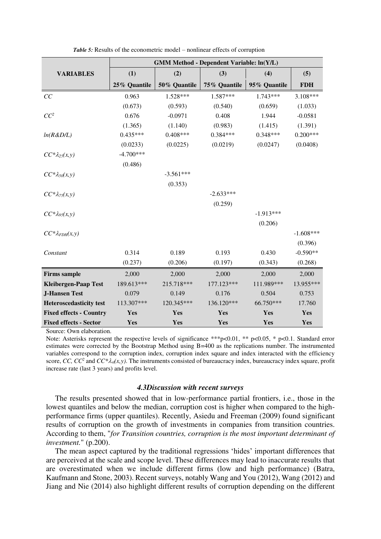|                                | <b>GMM Method - Dependent Variable: ln(Y/L)</b> |              |              |              |             |
|--------------------------------|-------------------------------------------------|--------------|--------------|--------------|-------------|
| <b>VARIABLES</b>               | (1)                                             | (2)          | (3)          | (4)          | (5)         |
|                                | 25% Quantile                                    | 50% Quantile | 75% Quantile | 95% Quantile | <b>FDH</b>  |
| CC                             | 0.963                                           | 1.528***     | 1.587***     | $1.743***$   | $3.108***$  |
|                                | (0.673)                                         | (0.593)      | (0.540)      | (0.659)      | (1.033)     |
| $CC^2$                         | 0.676                                           | $-0.0971$    | 0.408        | 1.944        | $-0.0581$   |
|                                | (1.365)                                         | (1.140)      | (0.983)      | (1.415)      | (1.391)     |
| ln(R & D/L)                    | $0.435***$                                      | $0.408***$   | $0.384***$   | $0.348***$   | $0.200***$  |
|                                | (0.0233)                                        | (0.0225)     | (0.0219)     | (0.0247)     | (0.0408)    |
| $CC^*\lambda_{25}(x,y)$        | $-4.700***$                                     |              |              |              |             |
|                                | (0.486)                                         |              |              |              |             |
| $CC^*\lambda_{50}(x, y)$       |                                                 | $-3.561***$  |              |              |             |
|                                |                                                 | (0.353)      |              |              |             |
| $CC^*\lambda_{75}(x, y)$       |                                                 |              | $-2.633***$  |              |             |
|                                |                                                 |              | (0.259)      |              |             |
| $CC^*\lambda_{95}(x,y)$        |                                                 |              |              | $-1.913***$  |             |
|                                |                                                 |              |              | (0.206)      |             |
| $CC^*\lambda_{FDH}(x,y)$       |                                                 |              |              |              | $-1.608***$ |
|                                |                                                 |              |              |              | (0.396)     |
| Constant                       | 0.314                                           | 0.189        | 0.193        | 0.430        | $-0.590**$  |
|                                | (0.237)                                         | (0.206)      | (0.197)      | (0.343)      | (0.268)     |
| <b>Firms sample</b>            | 2,000                                           | 2,000        | 2,000        | 2,000        | 2,000       |
| <b>Kleibergen-Paap Test</b>    | 189.613***                                      | 215.718***   | 177.123***   | 111.989***   | 13.955***   |
| <b>J-Hansen Test</b>           | 0.079                                           | 0.149        | 0.176        | 0.504        | 0.753       |
| <b>Heteroscedasticity</b> test | 113.307***                                      | 120.345***   | 136.120***   | 66.750***    | 17.760      |
| <b>Fixed effects - Country</b> | Yes                                             | Yes          | Yes          | Yes          | Yes         |
| <b>Fixed effects - Sector</b>  | Yes                                             | Yes          | Yes          | Yes          | Yes         |

*Table 5:* Results of the econometric model – nonlinear effects of corruption

Source: Own elaboration.

Note: Asterisks represent the respective levels of significance \*\*\*p<0.01, \*\* p<0.05, \* p<0.1. Standard error estimates were corrected by the Bootstrap Method using B=400 as the replications number. The instrumented variables correspond to the corruption index, corruption index square and index interacted with the efficiency score, CC,  $CC^2$  and  $CC^*\lambda_{\alpha}(x,y)$ . The instruments consisted of bureaucracy index, bureaucracy index square, profit increase rate (last 3 years) and profits level.

#### *4.3Discussion with recent surveys*

The results presented showed that in low-performance partial frontiers, i.e., those in the lowest quantiles and below the median, corruption cost is higher when compared to the highperformance firms (upper quantiles). Recently, Asiedu and Freeman (2009) found significant results of corruption on the growth of investments in companies from transition countries. According to them, "*for Transition countries, corruption is the most important determinant of investment.*" (p.200).

The mean aspect captured by the traditional regressions 'hides' important differences that are perceived at the scale and scope level. These differences may lead to inaccurate results that are overestimated when we include different firms (low and high performance) (Batra, Kaufmann and Stone, 2003). Recent surveys, notably Wang and You (2012), Wang (2012) and Jiang and Nie (2014) also highlight different results of corruption depending on the different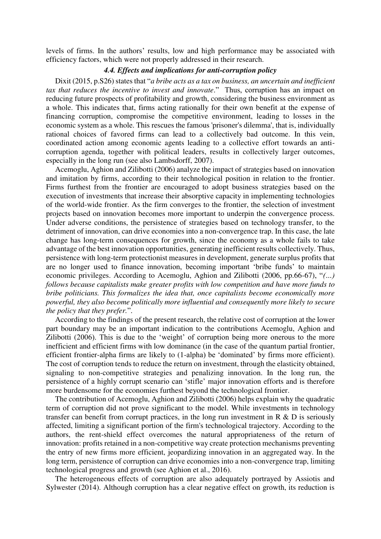levels of firms. In the authors' results, low and high performance may be associated with efficiency factors, which were not properly addressed in their research.

## *4.4. Effects and implications for anti-corruption policy*

Dixit (2015, p.S26) states that "*a bribe acts as a tax on business, an uncertain and inefficient tax that reduces the incentive to invest and innovate*." Thus, corruption has an impact on reducing future prospects of profitability and growth, considering the business environment as a whole. This indicates that, firms acting rationally for their own benefit at the expense of financing corruption, compromise the competitive environment, leading to losses in the economic system as a whole. This rescues the famous 'prisoner's dilemma', that is, individually rational choices of favored firms can lead to a collectively bad outcome. In this vein, coordinated action among economic agents leading to a collective effort towards an anticorruption agenda, together with political leaders, results in collectively larger outcomes, especially in the long run (see also Lambsdorff, 2007).

Acemoglu, Aghion and Zilibotti (2006) analyze the impact of strategies based on innovation and imitation by firms, according to their technological position in relation to the frontier. Firms furthest from the frontier are encouraged to adopt business strategies based on the execution of investments that increase their absorptive capacity in implementing technologies of the world-wide frontier. As the firm converges to the frontier, the selection of investment projects based on innovation becomes more important to underpin the convergence process. Under adverse conditions, the persistence of strategies based on technology transfer, to the detriment of innovation, can drive economies into a non-convergence trap. In this case, the late change has long-term consequences for growth, since the economy as a whole fails to take advantage of the best innovation opportunities, generating inefficient results collectively. Thus, persistence with long-term protectionist measures in development, generate surplus profits that are no longer used to finance innovation, becoming important 'bribe funds' to maintain economic privileges. According to Acemoglu, Aghion and Zilibotti (2006, pp.66-67), "*(…) follows because capitalists make greater profits with low competition and have more funds to bribe politicians. This formalizes the idea that, once capitalists become economically more powerful, they also become politically more influential and consequently more likely to secure the policy that they prefer.*".

According to the findings of the present research, the relative cost of corruption at the lower part boundary may be an important indication to the contributions Acemoglu, Aghion and Zilibotti (2006). This is due to the 'weight' of corruption being more onerous to the more inefficient and efficient firms with low dominance (in the case of the quantum partial frontier, efficient frontier-alpha firms are likely to (1-alpha) be 'dominated' by firms more efficient). The cost of corruption tends to reduce the return on investment, through the elasticity obtained, signaling to non-competitive strategies and penalizing innovation. In the long run, the persistence of a highly corrupt scenario can 'stifle' major innovation efforts and is therefore more burdensome for the economies furthest beyond the technological frontier.

The contribution of Acemoglu, Aghion and Zilibotti (2006) helps explain why the quadratic term of corruption did not prove significant to the model. While investments in technology transfer can benefit from corrupt practices, in the long run investment in  $R \& D$  is seriously affected, limiting a significant portion of the firm's technological trajectory. According to the authors, the rent-shield effect overcomes the natural appropriateness of the return of innovation: profits retained in a non-competitive way create protection mechanisms preventing the entry of new firms more efficient, jeopardizing innovation in an aggregated way. In the long term, persistence of corruption can drive economies into a non-convergence trap, limiting technological progress and growth (see Aghion et al., 2016).

The heterogeneous effects of corruption are also adequately portrayed by Assiotis and Sylwester (2014). Although corruption has a clear negative effect on growth, its reduction is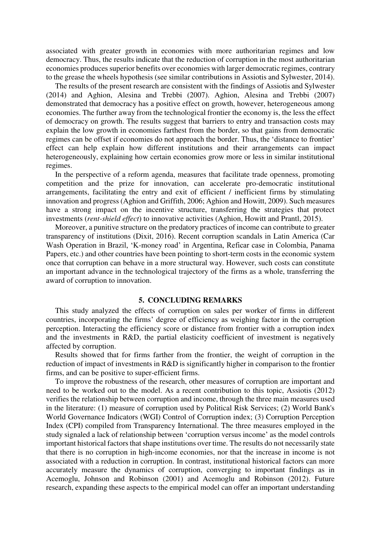associated with greater growth in economies with more authoritarian regimes and low democracy. Thus, the results indicate that the reduction of corruption in the most authoritarian economies produces superior benefits over economies with larger democratic regimes, contrary to the grease the wheels hypothesis (see similar contributions in Assiotis and Sylwester, 2014).

The results of the present research are consistent with the findings of Assiotis and Sylwester (2014) and Aghion, Alesina and Trebbi (2007). Aghion, Alesina and Trebbi (2007) demonstrated that democracy has a positive effect on growth, however, heterogeneous among economies. The further away from the technological frontier the economy is, the less the effect of democracy on growth. The results suggest that barriers to entry and transaction costs may explain the low growth in economies farthest from the border, so that gains from democratic regimes can be offset if economies do not approach the border. Thus, the 'distance to frontier' effect can help explain how different institutions and their arrangements can impact heterogeneously, explaining how certain economies grow more or less in similar institutional regimes.

In the perspective of a reform agenda, measures that facilitate trade openness, promoting competition and the prize for innovation, can accelerate pro-democratic institutional arrangements, facilitating the entry and exit of efficient / inefficient firms by stimulating innovation and progress (Aghion and Griffith, 2006; Aghion and Howitt, 2009). Such measures have a strong impact on the incentive structure, transferring the strategies that protect investments (*rent-shield effect*) to innovative activities (Aghion, Howitt and Prantl, 2015).

Moreover, a punitive structure on the predatory practices of income can contribute to greater transparency of institutions (Dixit, 2016). Recent corruption scandals in Latin America (Car Wash Operation in Brazil, 'K-money road' in Argentina, Reficar case in Colombia, Panama Papers, etc.) and other countries have been pointing to short-term costs in the economic system once that corruption can behave in a more structural way. However, such costs can constitute an important advance in the technological trajectory of the firms as a whole, transferring the award of corruption to innovation.

### **5. CONCLUDING REMARKS**

This study analyzed the effects of corruption on sales per worker of firms in different countries, incorporating the firms' degree of efficiency as weighing factor in the corruption perception. Interacting the efficiency score or distance from frontier with a corruption index and the investments in R&D, the partial elasticity coefficient of investment is negatively affected by corruption.

Results showed that for firms farther from the frontier, the weight of corruption in the reduction of impact of investments in R&D is significantly higher in comparison to the frontier firms, and can be positive to super-efficient firms.

To improve the robustness of the research, other measures of corruption are important and need to be worked out to the model. As a recent contribution to this topic, Assiotis (2012) verifies the relationship between corruption and income, through the three main measures used in the literature: (1) measure of corruption used by Political Risk Services; (2) World Bank's World Governance Indicators (WGI) Control of Corruption index; (3) Corruption Perception Index (CPI) compiled from Transparency International. The three measures employed in the study signaled a lack of relationship between 'corruption versus income' as the model controls important historical factors that shape institutions over time. The results do not necessarily state that there is no corruption in high-income economies, nor that the increase in income is not associated with a reduction in corruption. In contrast, institutional historical factors can more accurately measure the dynamics of corruption, converging to important findings as in Acemoglu, Johnson and Robinson (2001) and Acemoglu and Robinson (2012). Future research, expanding these aspects to the empirical model can offer an important understanding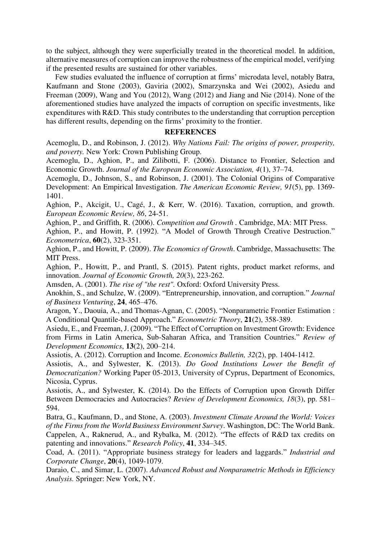to the subject, although they were superficially treated in the theoretical model. In addition, alternative measures of corruption can improve the robustness of the empirical model, verifying if the presented results are sustained for other variables.

Few studies evaluated the influence of corruption at firms' microdata level, notably Batra, Kaufmann and Stone (2003), Gaviria (2002), Smarzynska and Wei (2002), Asiedu and Freeman (2009), Wang and You (2012), Wang (2012) and Jiang and Nie (2014). None of the aforementioned studies have analyzed the impacts of corruption on specific investments, like expenditures with R&D. This study contributes to the understanding that corruption perception has different results, depending on the firms' proximity to the frontier.

#### **REFERENCES**

Acemoglu, D., and Robinson, J. (2012). *Why Nations Fail: The origins of power, prosperity, and poverty.* New York: Crown Publishing Group.

Acemoglu, D., Aghion, P., and Zilibotti, F. (2006). Distance to Frontier, Selection and Economic Growth. *Journal of the European Economic Association, 4*(1), 37–74.

Acemoglu, D., Johnson, S., and Robinson, J. (2001). The Colonial Origins of Comparative Development: An Empirical Investigation. *The American Economic Review, 91*(5), pp. 1369- 1401.

Aghion, P., Akcigit, U., Cagé, J., & Kerr, W. (2016). Taxation, corruption, and growth. *European Economic Review, 86*, 24-51.

Aghion, P., and Griffith, R. (2006). *Competition and Growth .* Cambridge, MA: MIT Press.

Aghion, P., and Howitt, P. (1992). "A Model of Growth Through Creative Destruction." *Econometrica*, **60**(2), 323-351.

Aghion, P., and Howitt, P. (2009). *The Economics of Growth*. Cambridge, Massachusetts: The MIT Press.

Aghion, P., Howitt, P., and Prantl, S. (2015). Patent rights, product market reforms, and innovation. *Journal of Economic Growth, 20*(3), 223-262.

Amsden, A. (2001). *The rise of "the rest".* Oxford: Oxford University Press.

Anokhin, S., and Schulze, W. (2009). "Entrepreneurship, innovation, and corruption." *Journal of Business Venturing*, **24**, 465–476.

Aragon, Y., Daouia, A., and Thomas-Agnan, C. (2005). "Nonparametric Frontier Estimation : A Conditional Quantile-based Approach." *Econometric Theory*, **21**(2), 358-389.

Asiedu, E., and Freeman, J. (2009). "The Effect of Corruption on Investment Growth: Evidence from Firms in Latin America, Sub-Saharan Africa, and Transition Countries." *Review of Development Economics*, **13**(2), 200–214.

Assiotis, A. (2012). Corruption and Income. *Economics Bulletin, 32*(2), pp. 1404-1412.

Assiotis, A., and Sylwester, K. (2013). *Do Good Institutions Lower the Benefit of Democratization?* Working Paper 05-2013, University of Cyprus, Department of Economics, Nicosia, Cyprus.

Assiotis, A., and Sylwester, K. (2014). Do the Effects of Corruption upon Growth Differ Between Democracies and Autocracies? *Review of Development Economics, 18*(3), pp. 581– 594.

Batra, G., Kaufmann, D., and Stone, A. (2003). *Investment Climate Around the World: Voices of the Firms from the World Business Environment Survey*. Washington, DC: The World Bank. Cappelen, A., Raknerud, A., and Rybalka, M. (2012). "The effects of R&D tax credits on patenting and innovations." *Research Policy*, **41**, 334–345.

Coad, A. (2011). "Appropriate business strategy for leaders and laggards." *Industrial and Corporate Change*, **20**(4), 1049-1079.

Daraio, C., and Simar, L. (2007). *Advanced Robust and Nonparametric Methods in Efficiency Analysis.* Springer: New York, NY.